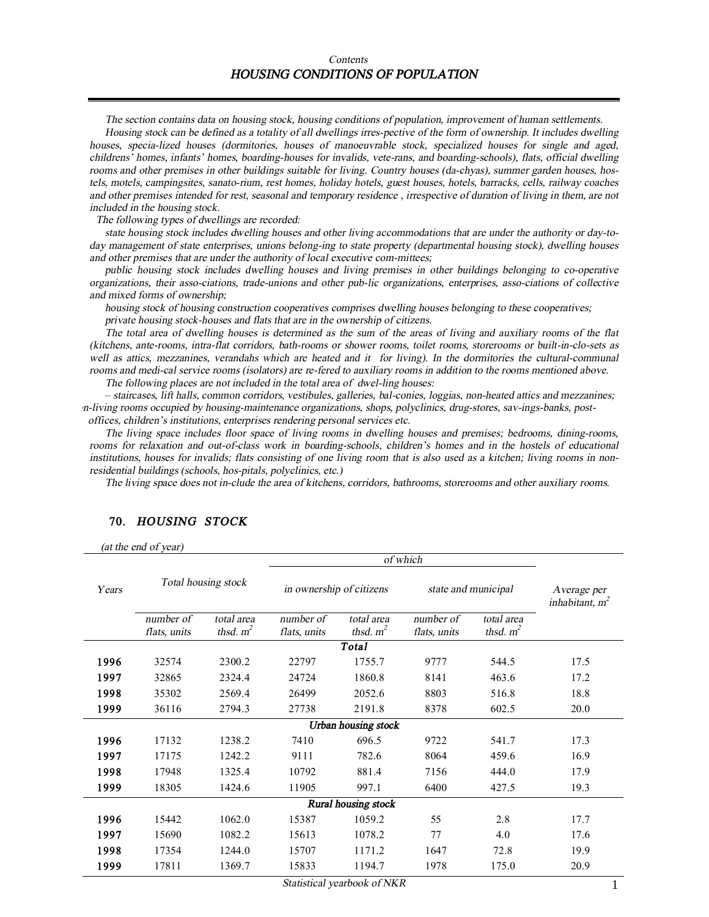#### *Contents HOUSING CONDITIONS OF POPULATION*

*The section contains data on housing stock, housing conditions of population, improvement of human settlements.* 

Housing stock can be defined as a totality of all dwellings irres-pective of the form of ownership. It includes dwelling *houses, specia-lized houses (dormitories, houses of manoeuvrable stock, specialized houses for single and aged, childrens' homes, infants' homes, boarding-houses for invalids, vete-rans, and boarding-schools), flats, official dwelling*  rooms and other premises in other buildings suitable for living. Country houses (da-chyas), summer garden houses, hos*tels, motels, campingsites, sanato-rium, rest homes, holiday hotels, guest houses, hotels, barracks, cells, railway coaches*  and other premises intended for rest, seasonal and temporary residence, irrespective of duration of living in them, are not *included in the housing stock.* 

*The following types of dwellings are recorded:* 

state housing stock includes dwelling houses and other living accommodations that are under the authority or day-to*day management of state enterprises, unions belong-ing to state property (departmental housing stock), dwelling houses and other premises that are under the authority of local executive com-mittees;* 

*public housing stock includes dwelling houses and living premises in other buildings belonging to co-operative organizations, their asso-ciations, trade-unions and other pub-lic organizations, enterprises, asso-ciations of collective and mixed forms of ownership;* 

*housing stock of housing construction cooperatives comprises dwelling houses belonging to these cooperatives; private housing stock-houses and flats that are in the ownership of citizens.* 

The total area of dwelling houses is determined as the sum of the areas of living and auxiliary rooms of the flat *(kitchens, ante-rooms, intra-flat corridors, bath-rooms or shower rooms, toilet rooms, storerooms or built-in-clo-sets as*  well as attics, mezzanines, verandahs which are heated and it for living). In the dormitories the cultural-communal rooms and medi-cal service rooms (isolators) are re-fered to auxiliary rooms in addition to the rooms mentioned above.

*The following places are not included in the total area of dwel-ling houses:* 

– *staircases, lift halls, common corridors, vestibules, galleries, bal-conies, loggias, non-heated attics and mezzanines; non-living rooms occupied by housing-maintenance organizations, shops, polyclinics, drug-stores, sav-ings-banks, postoffices, children's institutions, enterprises rendering personal services etc.* 

*The living space includes floor space of living rooms in dwelling houses and premises; bedrooms, dining-rooms,*  rooms for relaxation and out-of-class work in boarding-schools, children's homes and in the hostels of educational institutions, houses for invalids; flats consisting of one living room that is also used as a kitchen; living rooms in non*residential buildings (schools, hos-pitals, polyclinics, etc.)* 

The living space does not in-clude the area of kitchens, corridors, bathrooms, storerooms and other auxiliary rooms.

|       |                           |                           |                           | Average per<br>inhabitant, $m^2$ |                           |                           |      |
|-------|---------------------------|---------------------------|---------------------------|----------------------------------|---------------------------|---------------------------|------|
| Years | Total housing stock       |                           | in ownership of citizens  |                                  | state and municipal       |                           |      |
|       | number of<br>flats, units | total area<br>thsd. $m^2$ | number of<br>flats, units | total area<br>thsd. $m^2$        | number of<br>flats, units | total area<br>thsd. $m^2$ |      |
|       |                           |                           |                           | Total                            |                           |                           |      |
| 1996  | 32574                     | 2300.2                    | 22797                     | 1755.7                           | 9777                      | 544.5                     | 17.5 |
| 1997  | 32865                     | 2324.4                    | 24724                     | 1860.8                           | 8141                      | 463.6                     | 17.2 |
| 1998  | 35302                     | 2569.4                    | 26499                     | 2052.6                           | 8803                      | 516.8                     | 18.8 |
| 1999  | 36116                     | 2794.3                    | 27738                     | 2191.8                           | 8378                      | 602.5                     | 20.0 |
|       |                           |                           |                           | <b>Urban</b> housing stock       |                           |                           |      |
| 1996  | 17132                     | 1238.2                    | 7410                      | 696.5                            | 9722                      | 541.7                     | 17.3 |
| 1997  | 17175                     | 1242.2                    | 9111                      | 782.6                            | 8064                      | 459.6                     | 16.9 |
| 1998  | 17948                     | 1325.4                    | 10792                     | 881.4                            | 7156                      | 444.0                     | 17.9 |
| 1999  | 18305                     | 1424.6                    | 11905                     | 997.1                            | 6400                      | 427.5                     | 19.3 |
|       |                           |                           |                           | <b>Rural housing stock</b>       |                           |                           |      |
| 1996  | 15442                     | 1062.0                    | 15387                     | 1059.2                           | 55                        | 2.8                       | 17.7 |
| 1997  | 15690                     | 1082.2                    | 15613                     | 1078.2                           | 77                        | 4.0                       | 17.6 |
| 1998  | 17354                     | 1244.0                    | 15707                     | 1171.2                           | 1647                      | 72.8                      | 19.9 |
| 1999  | 17811                     | 1369.7                    | 15833                     | 1194.7                           | 1978                      | 175.0                     | 20.9 |

#### **70.** *HOUSING STOCK*

 *(at the end of year)*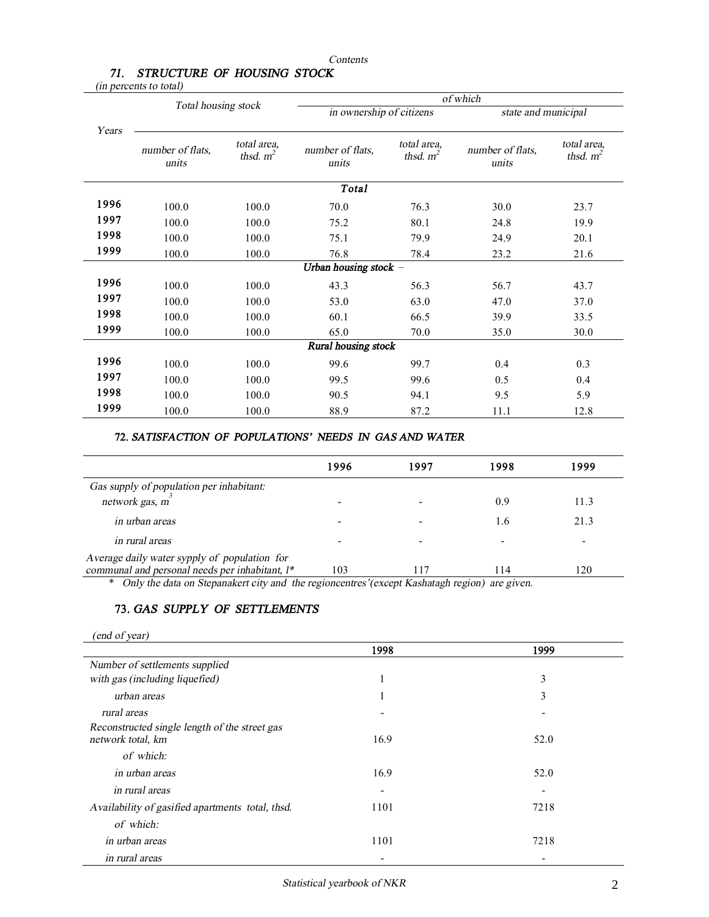#### *Contents*

# *71. STRUCTURE OF HOUSING STOCK*

*(in percents to total)*

|       | Total housing stock       |                            | of which                  |                            |                           |                            |  |
|-------|---------------------------|----------------------------|---------------------------|----------------------------|---------------------------|----------------------------|--|
|       |                           |                            | in ownership of citizens  |                            | state and municipal       |                            |  |
| Years | number of flats.<br>units | total area,<br>thsd. $m^2$ | number of flats,<br>units | total area,<br>thsd. $m^2$ | number of flats,<br>units | total area,<br>thsd. $m^2$ |  |
|       |                           |                            | <b>Total</b>              |                            |                           |                            |  |
| 1996  | 100.0                     | 100.0                      | 70.0                      | 76.3                       | 30.0                      | 23.7                       |  |
| 1997  | 100.0                     | 100.0                      | 75.2                      | 80.1                       | 24.8                      | 19.9                       |  |
| 1998  | 100.0                     | 100.0                      | 75.1                      | 79.9                       | 24.9                      | 20.1                       |  |
| 1999  | 100.0                     | 100.0                      | 76.8                      | 78.4                       | 23.2                      | 21.6                       |  |
|       |                           |                            | Urban housing stock $-$   |                            |                           |                            |  |
| 1996  | 100.0                     | 100.0                      | 43.3                      | 56.3                       | 56.7                      | 43.7                       |  |
| 1997  | 100.0                     | 100.0                      | 53.0                      | 63.0                       | 47.0                      | 37.0                       |  |
| 1998  | 100.0                     | 100.0                      | 60.1                      | 66.5                       | 39.9                      | 33.5                       |  |
| 1999  | 100.0                     | 100.0                      | 65.0                      | 70.0                       | 35.0                      | 30.0                       |  |
|       |                           |                            | Rural housing stock       |                            |                           |                            |  |
| 1996  | 100.0                     | 100.0                      | 99.6                      | 99.7                       | 0.4                       | 0.3                        |  |
| 1997  | 100.0                     | 100.0                      | 99.5                      | 99.6                       | 0.5                       | 0.4                        |  |
| 1998  | 100.0                     | 100.0                      | 90.5                      | 94.1                       | 9.5                       | 5.9                        |  |
| 1999  | 100.0                     | 100.0                      | 88.9                      | 87.2                       | 11.1                      | 12.8                       |  |

### **72.** *SATISFACTION OF POPULATIONS' NEEDS IN GAS AND WATER*

| 1996 | 1997 | 1998 | 1999 |
|------|------|------|------|
|      |      |      |      |
|      |      | 0.9  | 11.3 |
|      |      | 1.6  | 21.3 |
|      |      |      |      |
| 103  | 117  | 114  | 120  |
|      |      |      |      |

\* *Only the data on Stepanakert city and the regioncentres'(except Kashatagh region) are given.* 

## **73.** *GAS SUPPLY OF SETTLEMENTS*

|  |  | (end of year) |
|--|--|---------------|
|--|--|---------------|

|                                                                    | 1998 | 1999 |
|--------------------------------------------------------------------|------|------|
| Number of settlements supplied                                     |      |      |
| with gas (including liquefied)                                     | л.   | 3    |
| urban areas                                                        |      | 3    |
| rural areas                                                        |      |      |
| Reconstructed single length of the street gas<br>network total, km | 16.9 | 52.0 |
| of which:                                                          |      |      |
| in urban areas                                                     | 16.9 | 52.0 |
| in rural areas                                                     |      |      |
| Availability of gasified apartments total, thsd.                   | 1101 | 7218 |
| of which:                                                          |      |      |
| in urban areas                                                     | 1101 | 7218 |
| in rural areas                                                     |      |      |